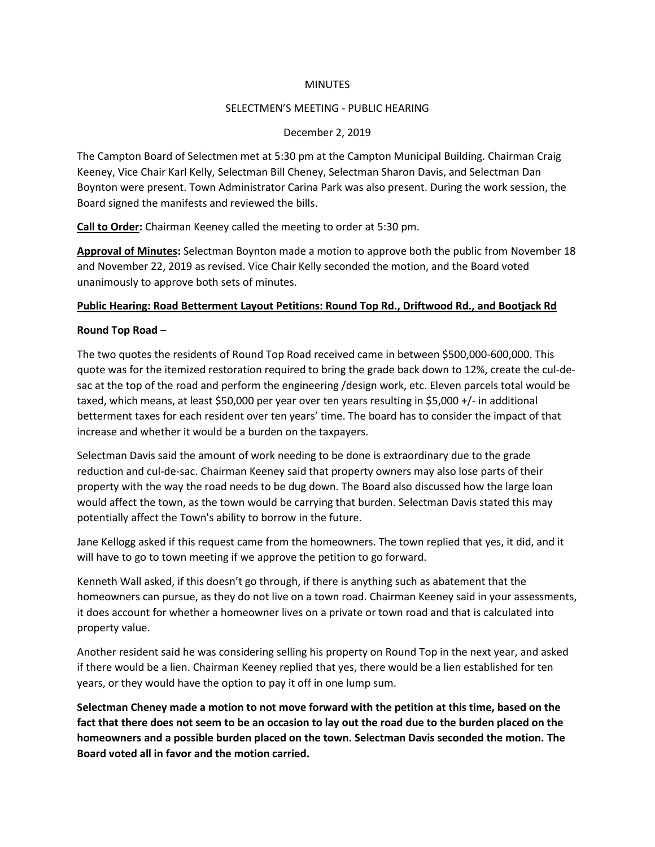#### **MINUTES**

#### SELECTMEN'S MEETING - PUBLIC HEARING

# December 2, 2019

The Campton Board of Selectmen met at 5:30 pm at the Campton Municipal Building. Chairman Craig Keeney, Vice Chair Karl Kelly, Selectman Bill Cheney, Selectman Sharon Davis, and Selectman Dan Boynton were present. Town Administrator Carina Park was also present. During the work session, the Board signed the manifests and reviewed the bills.

**Call to Order:** Chairman Keeney called the meeting to order at 5:30 pm.

**Approval of Minutes:** Selectman Boynton made a motion to approve both the public from November 18 and November 22, 2019 as revised. Vice Chair Kelly seconded the motion, and the Board voted unanimously to approve both sets of minutes.

# **Public Hearing: Road Betterment Layout Petitions: Round Top Rd., Driftwood Rd., and Bootjack Rd**

# **Round Top Road** –

The two quotes the residents of Round Top Road received came in between \$500,000-600,000. This quote was for the itemized restoration required to bring the grade back down to 12%, create the cul-desac at the top of the road and perform the engineering /design work, etc. Eleven parcels total would be taxed, which means, at least \$50,000 per year over ten years resulting in \$5,000 +/- in additional betterment taxes for each resident over ten years' time. The board has to consider the impact of that increase and whether it would be a burden on the taxpayers.

Selectman Davis said the amount of work needing to be done is extraordinary due to the grade reduction and cul-de-sac. Chairman Keeney said that property owners may also lose parts of their property with the way the road needs to be dug down. The Board also discussed how the large loan would affect the town, as the town would be carrying that burden. Selectman Davis stated this may potentially affect the Town's ability to borrow in the future.

Jane Kellogg asked if this request came from the homeowners. The town replied that yes, it did, and it will have to go to town meeting if we approve the petition to go forward.

Kenneth Wall asked, if this doesn't go through, if there is anything such as abatement that the homeowners can pursue, as they do not live on a town road. Chairman Keeney said in your assessments, it does account for whether a homeowner lives on a private or town road and that is calculated into property value.

Another resident said he was considering selling his property on Round Top in the next year, and asked if there would be a lien. Chairman Keeney replied that yes, there would be a lien established for ten years, or they would have the option to pay it off in one lump sum.

**Selectman Cheney made a motion to not move forward with the petition at this time, based on the fact that there does not seem to be an occasion to lay out the road due to the burden placed on the homeowners and a possible burden placed on the town. Selectman Davis seconded the motion. The Board voted all in favor and the motion carried.**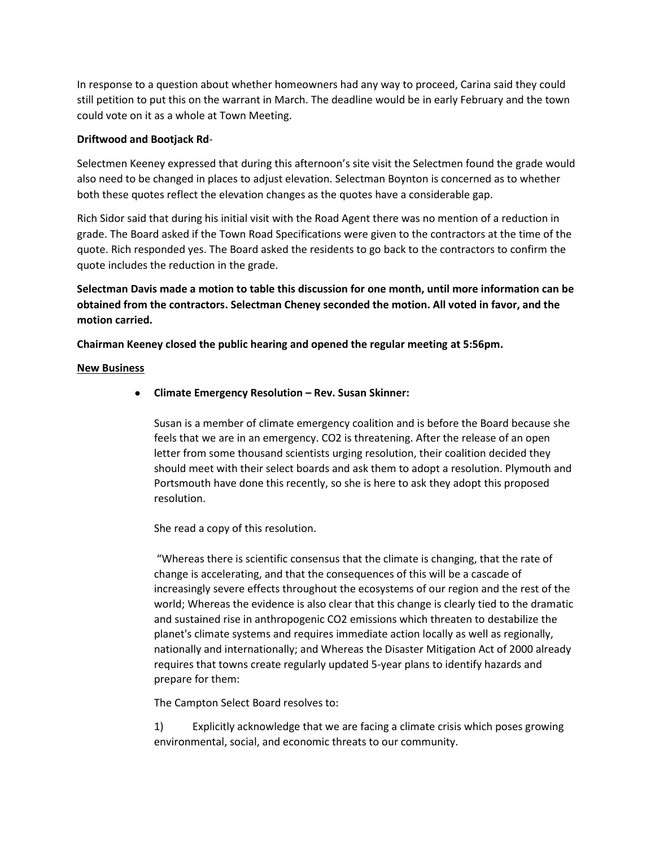In response to a question about whether homeowners had any way to proceed, Carina said they could still petition to put this on the warrant in March. The deadline would be in early February and the town could vote on it as a whole at Town Meeting.

# **Driftwood and Bootjack Rd**-

Selectmen Keeney expressed that during this afternoon's site visit the Selectmen found the grade would also need to be changed in places to adjust elevation. Selectman Boynton is concerned as to whether both these quotes reflect the elevation changes as the quotes have a considerable gap.

Rich Sidor said that during his initial visit with the Road Agent there was no mention of a reduction in grade. The Board asked if the Town Road Specifications were given to the contractors at the time of the quote. Rich responded yes. The Board asked the residents to go back to the contractors to confirm the quote includes the reduction in the grade.

**Selectman Davis made a motion to table this discussion for one month, until more information can be obtained from the contractors. Selectman Cheney seconded the motion. All voted in favor, and the motion carried.**

**Chairman Keeney closed the public hearing and opened the regular meeting at 5:56pm.**

# **New Business**

• **Climate Emergency Resolution – Rev. Susan Skinner:** 

Susan is a member of climate emergency coalition and is before the Board because she feels that we are in an emergency. CO2 is threatening. After the release of an open letter from some thousand scientists urging resolution, their coalition decided they should meet with their select boards and ask them to adopt a resolution. Plymouth and Portsmouth have done this recently, so she is here to ask they adopt this proposed resolution.

She read a copy of this resolution.

"Whereas there is scientific consensus that the climate is changing, that the rate of change is accelerating, and that the consequences of this will be a cascade of increasingly severe effects throughout the ecosystems of our region and the rest of the world; Whereas the evidence is also clear that this change is clearly tied to the dramatic and sustained rise in anthropogenic CO2 emissions which threaten to destabilize the planet's climate systems and requires immediate action locally as well as regionally, nationally and internationally; and Whereas the Disaster Mitigation Act of 2000 already requires that towns create regularly updated 5-year plans to identify hazards and prepare for them:

The Campton Select Board resolves to:

1) Explicitly acknowledge that we are facing a climate crisis which poses growing environmental, social, and economic threats to our community.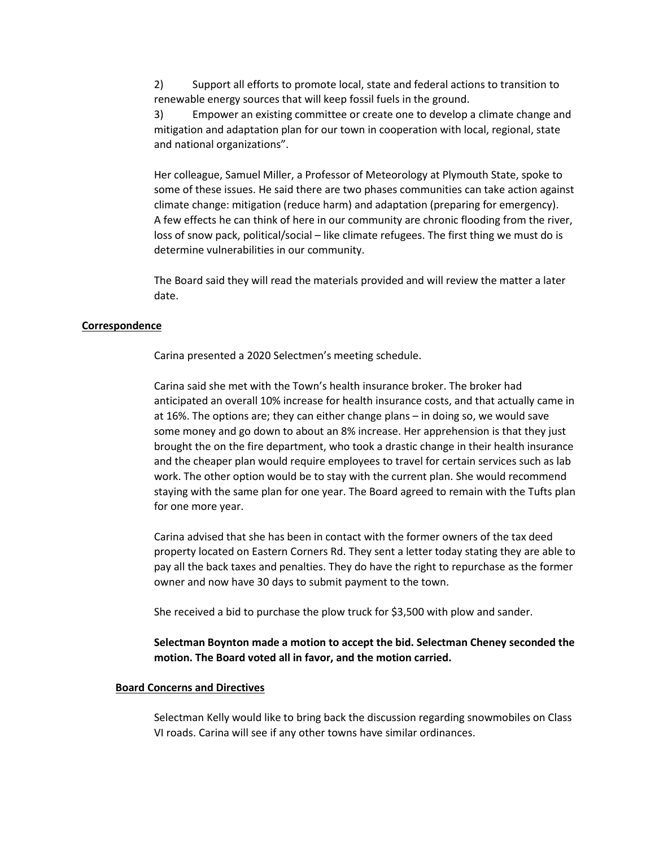2) Support all efforts to promote local, state and federal actions to transition to renewable energy sources that will keep fossil fuels in the ground.

3) Empower an existing committee or create one to develop a climate change and mitigation and adaptation plan for our town in cooperation with local, regional, state and national organizations".

Her colleague, Samuel Miller, a Professor of Meteorology at Plymouth State, spoke to some of these issues. He said there are two phases communities can take action against climate change: mitigation (reduce harm) and adaptation (preparing for emergency). A few effects he can think of here in our community are chronic flooding from the river, loss of snow pack, political/social – like climate refugees. The first thing we must do is determine vulnerabilities in our community.

The Board said they will read the materials provided and will review the matter a later date.

#### **Correspondence**

Carina presented a 2020 Selectmen's meeting schedule.

Carina said she met with the Town's health insurance broker. The broker had anticipated an overall 10% increase for health insurance costs, and that actually came in at 16%. The options are; they can either change plans – in doing so, we would save some money and go down to about an 8% increase. Her apprehension is that they just brought the on the fire department, who took a drastic change in their health insurance and the cheaper plan would require employees to travel for certain services such as lab work. The other option would be to stay with the current plan. She would recommend staying with the same plan for one year. The Board agreed to remain with the Tufts plan for one more year.

Carina advised that she has been in contact with the former owners of the tax deed property located on Eastern Corners Rd. They sent a letter today stating they are able to pay all the back taxes and penalties. They do have the right to repurchase as the former owner and now have 30 days to submit payment to the town.

She received a bid to purchase the plow truck for \$3,500 with plow and sander.

#### **Selectman Boynton made a motion to accept the bid. Selectman Cheney seconded the motion. The Board voted all in favor, and the motion carried.**

#### **Board Concerns and Directives**

Selectman Kelly would like to bring back the discussion regarding snowmobiles on Class VI roads. Carina will see if any other towns have similar ordinances.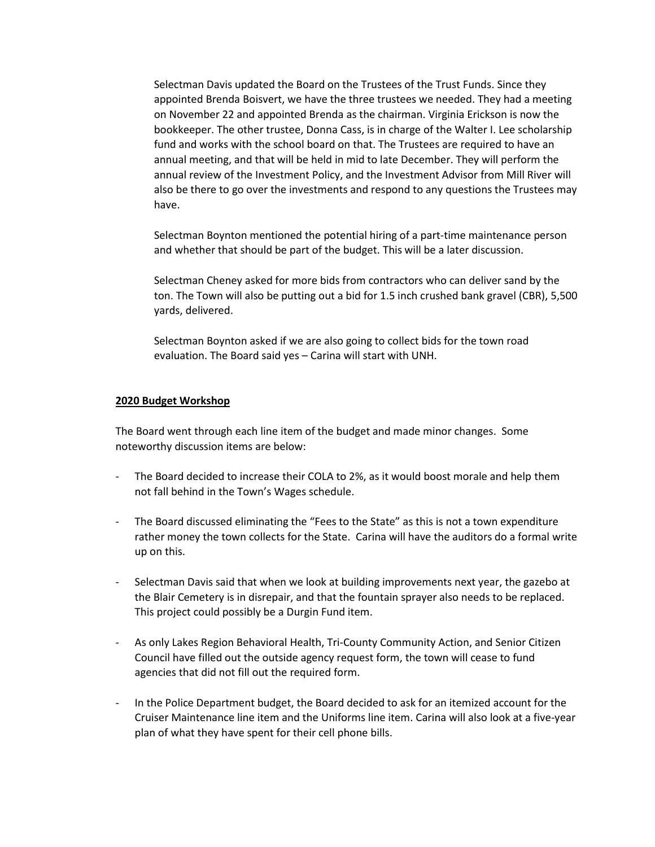Selectman Davis updated the Board on the Trustees of the Trust Funds. Since they appointed Brenda Boisvert, we have the three trustees we needed. They had a meeting on November 22 and appointed Brenda as the chairman. Virginia Erickson is now the bookkeeper. The other trustee, Donna Cass, is in charge of the Walter I. Lee scholarship fund and works with the school board on that. The Trustees are required to have an annual meeting, and that will be held in mid to late December. They will perform the annual review of the Investment Policy, and the Investment Advisor from Mill River will also be there to go over the investments and respond to any questions the Trustees may have.

Selectman Boynton mentioned the potential hiring of a part-time maintenance person and whether that should be part of the budget. This will be a later discussion.

Selectman Cheney asked for more bids from contractors who can deliver sand by the ton. The Town will also be putting out a bid for 1.5 inch crushed bank gravel (CBR), 5,500 yards, delivered.

Selectman Boynton asked if we are also going to collect bids for the town road evaluation. The Board said yes – Carina will start with UNH.

#### **2020 Budget Workshop**

The Board went through each line item of the budget and made minor changes. Some noteworthy discussion items are below:

- The Board decided to increase their COLA to 2%, as it would boost morale and help them not fall behind in the Town's Wages schedule.
- The Board discussed eliminating the "Fees to the State" as this is not a town expenditure rather money the town collects for the State. Carina will have the auditors do a formal write up on this.
- Selectman Davis said that when we look at building improvements next year, the gazebo at the Blair Cemetery is in disrepair, and that the fountain sprayer also needs to be replaced. This project could possibly be a Durgin Fund item.
- As only Lakes Region Behavioral Health, Tri-County Community Action, and Senior Citizen Council have filled out the outside agency request form, the town will cease to fund agencies that did not fill out the required form.
- In the Police Department budget, the Board decided to ask for an itemized account for the Cruiser Maintenance line item and the Uniforms line item. Carina will also look at a five-year plan of what they have spent for their cell phone bills.